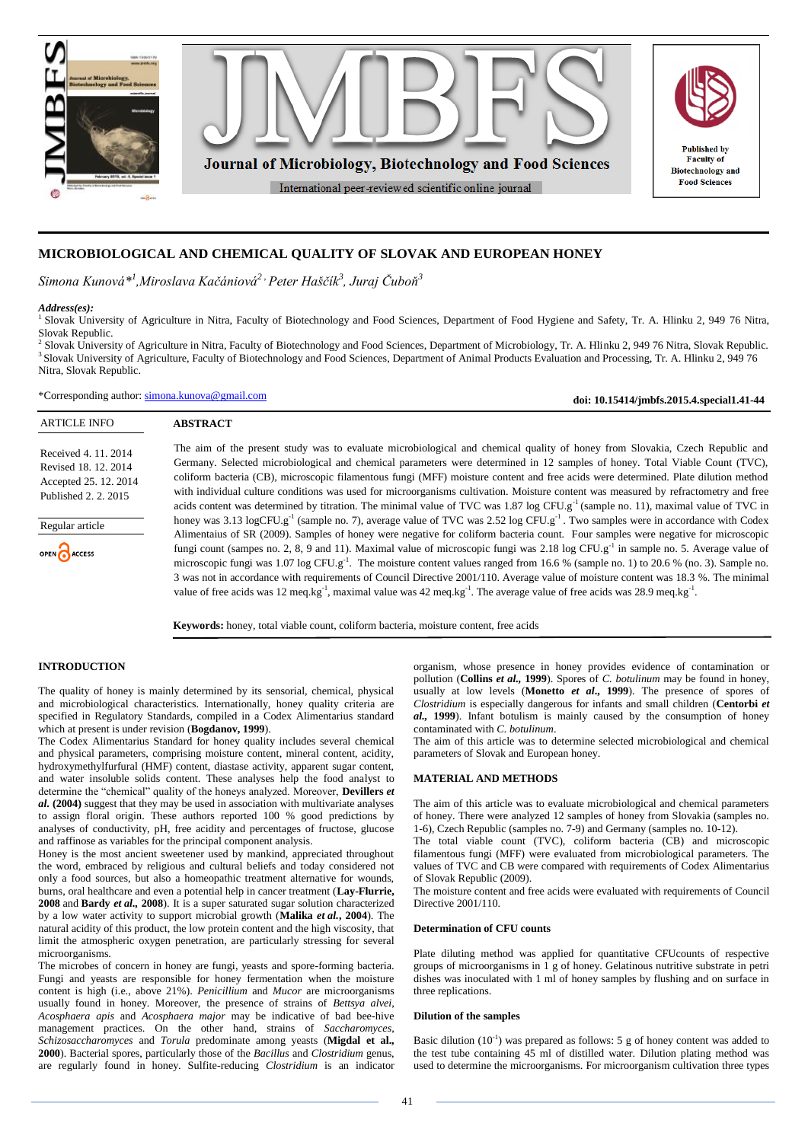

# **MICROBIOLOGICAL AND CHEMICAL QUALITY OF SLOVAK AND EUROPEAN HONEY**

*Simona Kunová\*<sup>1</sup> ,Miroslava Kačániová2 , Peter Haščík<sup>3</sup> , Juraj Čuboň<sup>3</sup>*

# *Address(es):*

1 Slovak University of Agriculture in Nitra, Faculty of Biotechnology and Food Sciences, Department of Food Hygiene and Safety, Tr. A. Hlinku 2, 949 76 Nitra, Slovak Republic.

<sup>2</sup> Slovak University of Agriculture in Nitra, Faculty of Biotechnology and Food Sciences, Department of Microbiology, Tr. A. Hlinku 2, 949 76 Nitra, Slovak Republic. 3 Slovak University of Agriculture, Faculty of Biotechnology and Food Sciences, Department of Animal Products Evaluation and Processing, Tr. A. Hlinku 2, 949 76 Nitra, Slovak Republic.

\*Corresponding author: [simona.kunova@gmail.com](mailto:simona.kunova@gmail.com)

**doi: 10.15414/jmbfs.2015.4.special1.41-44**

| <b>ARTICLE INFO</b>                                                                           | <b>ABSTRACT</b>                                                                                                                                                                                                                                                                                                                                                                                                                    |
|-----------------------------------------------------------------------------------------------|------------------------------------------------------------------------------------------------------------------------------------------------------------------------------------------------------------------------------------------------------------------------------------------------------------------------------------------------------------------------------------------------------------------------------------|
| Received 4, 11, 2014<br>Revised 18, 12, 2014<br>Accepted 25, 12, 2014<br>Published 2, 2, 2015 | The aim of the present study was to evaluate microbiological and chemical quality of honey from Slovakia, Czech Republic and<br>Germany. Selected microbiological and chemical parameters were determined in 12 samples of honey. Total Viable Count (TVC),<br>coliform bacteria (CB), microscopic filamentous fungi (MFF) moisture content and free acids were determined. Plate dilution method                                  |
|                                                                                               | with individual culture conditions was used for microorganisms cultivation. Moisture content was measured by refractometry and free<br>acids content was determined by titration. The minimal value of TVC was 1.87 log CFU.g <sup>-1</sup> (sample no. 11), maximal value of TVC in                                                                                                                                               |
| Regular article                                                                               | honey was 3.13 logCFU.g <sup>-1</sup> (sample no. 7), average value of TVC was 2.52 log CFU.g <sup>-1</sup> . Two samples were in accordance with Codex<br>Alimentaius of SR (2009). Samples of honey were negative for coliform bacteria count. Four samples were negative for microscopic                                                                                                                                        |
| OPEN CACCESS                                                                                  | fungi count (sampes no. 2, 8, 9 and 11). Maximal value of microscopic fungi was 2.18 log CFU.g <sup>-1</sup> in sample no. 5. Average value of<br>microscopic fungi was $1.07 \log CFU.g^{-1}$ . The moisture content values ranged from 16.6 % (sample no. 1) to 20.6 % (no. 3). Sample no.<br>3 was not in accordance with requirements of Council Directive 2001/110. Average value of moisture content was 18.3 %. The minimal |
|                                                                                               | value of free acids was 12 meq.kg <sup>-1</sup> , maximal value was 42 meq.kg <sup>-1</sup> . The average value of free acids was 28.9 meq.kg <sup>-1</sup> .                                                                                                                                                                                                                                                                      |

**Keywords:** honey, total viable count, coliform bacteria, moisture content, free acids

# **INTRODUCTION**

The quality of honey is mainly determined by its sensorial, chemical, physical and microbiological characteristics. Internationally, honey quality criteria are specified in Regulatory Standards, compiled in a Codex Alimentarius standard which at present is under revision (**Bogdanov, 1999**).

The Codex Alimentarius Standard for honey quality includes several chemical and physical parameters, comprising moisture content, mineral content, acidity, hydroxymethylfurfural (HMF) content, diastase activity, apparent sugar content, and water insoluble solids content. These analyses help the food analyst to determine the "chemical" quality of the honeys analyzed. Moreover, **Devillers** *et al.* **(2004)** suggest that they may be used in association with multivariate analyses to assign floral origin. These authors reported 100 % good predictions by analyses of conductivity, pH, free acidity and percentages of fructose, glucose and raffinose as variables for the principal component analysis.

Honey is the most ancient sweetener used by mankind, appreciated throughout the word, embraced by religious and cultural beliefs and today considered not only a food sources, but also a homeopathic treatment alternative for wounds, burns, oral healthcare and even a potential help in cancer treatment (**Lay-Flurrie, 2008** and **Bardy** *et al.,* **2008**). It is a super saturated sugar solution characterized by a low water activity to support microbial growth (**Malika** *et al.***, 2004**). The natural acidity of this product, the low protein content and the high viscosity, that limit the atmospheric oxygen penetration, are particularly stressing for several microorganisms.

The microbes of concern in honey are fungi, yeasts and spore-forming bacteria. Fungi and yeasts are responsible for honey fermentation when the moisture content is high (i.e., above 21%). *Penicillium* and *Mucor* are microorganisms usually found in honey. Moreover, the presence of strains of *Bettsya alvei*, *Acosphaera apis* and *Acosphaera major* may be indicative of bad bee-hive management practices. On the other hand, strains of *Saccharomyces*, *Schizosaccharomyces* and *Torula* predominate among yeasts (**Migdal et al., 2000**). Bacterial spores, particularly those of the *Bacillus* and *Clostridium* genus, are regularly found in honey. Sulfite-reducing *Clostridium* is an indicator

organism, whose presence in honey provides evidence of contamination or pollution (**Collins** *et al.,* **1999**). Spores of *C. botulinum* may be found in honey, usually at low levels (**Monetto** *et al***., 1999**). The presence of spores of *Clostridium* is especially dangerous for infants and small children (**Centorbi** *et al.,* **1999**). Infant botulism is mainly caused by the consumption of honey contaminated with *C. botulinum*.

The aim of this article was to determine selected microbiological and chemical parameters of Slovak and European honey.

#### **MATERIAL AND METHODS**

The aim of this article was to evaluate microbiological and chemical parameters of honey. There were analyzed 12 samples of honey from Slovakia (samples no. 1-6), Czech Republic (samples no. 7-9) and Germany (samples no. 10-12).

The total viable count (TVC), coliform bacteria (CB) and microscopic filamentous fungi (MFF) were evaluated from microbiological parameters. The values of TVC and CB were compared with requirements of Codex Alimentarius of Slovak Republic (2009).

The moisture content and free acids were evaluated with requirements of Council Directive 2001/110.

# **Determination of CFU counts**

Plate diluting method was applied for quantitative CFUcounts of respective groups of microorganisms in 1 g of honey. Gelatinous nutritive substrate in petri dishes was inoculated with 1 ml of honey samples by flushing and on surface in three replications.

# **Dilution of the samples**

Basic dilution  $(10^{-1})$  was prepared as follows: 5 g of honey content was added to the test tube containing 45 ml of distilled water. Dilution plating method was used to determine the microorganisms. For microorganism cultivation three types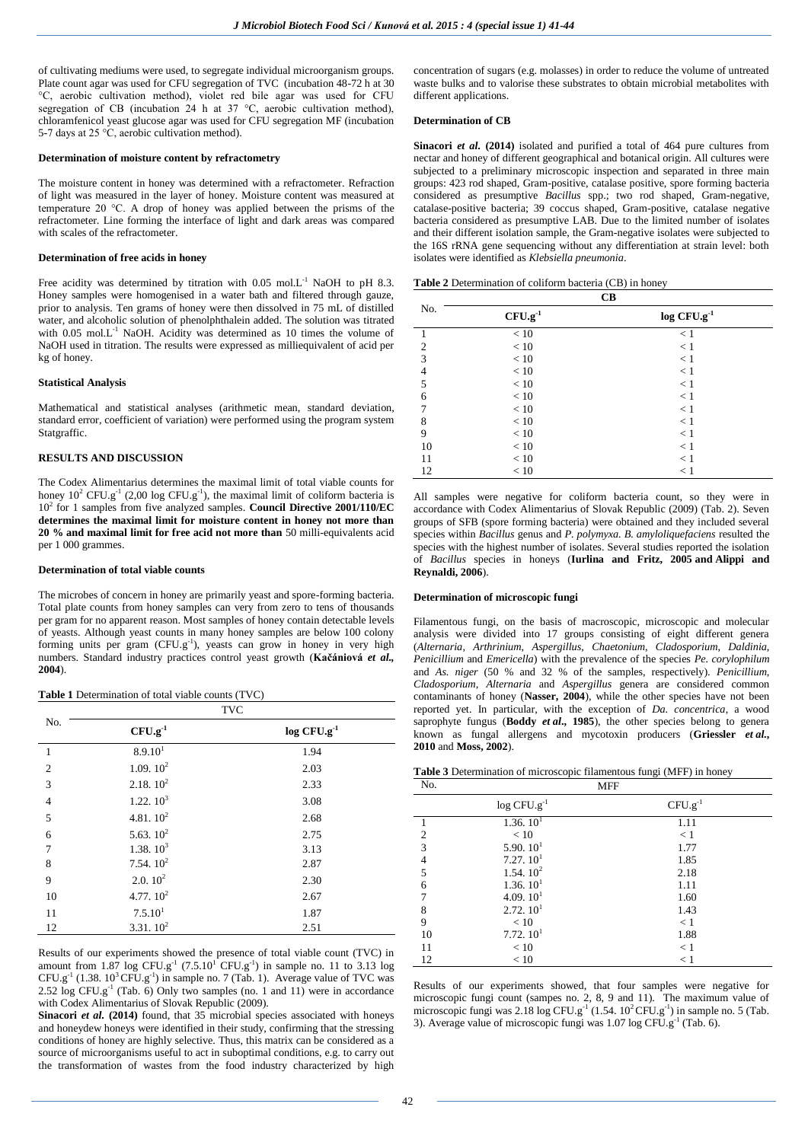of cultivating mediums were used, to segregate individual microorganism groups. Plate count agar was used for CFU segregation of TVC (incubation 48-72 h at 30 °C, aerobic cultivation method), violet red bile agar was used for CFU segregation of CB (incubation  $24$  h at 37 °C, aerobic cultivation method), chloramfenicol yeast glucose agar was used for CFU segregation MF (incubation 5-7 days at 25 °C, aerobic cultivation method).

#### **Determination of moisture content by refractometry**

The moisture content in honey was determined with a refractometer. Refraction of light was measured in the layer of honey. Moisture content was measured at temperature 20 °C. A drop of honey was applied between the prisms of the refractometer. Line forming the interface of light and dark areas was compared with scales of the refractometer.

## **Determination of free acids in honey**

Free acidity was determined by titration with 0.05 mol.L<sup>-1</sup> NaOH to pH 8.3. Honey samples were homogenised in a water bath and filtered through gauze, prior to analysis. Ten grams of honey were then dissolved in 75 mL of distilled water, and alcoholic solution of phenolphthalein added. The solution was titrated with  $0.05$  mol.L<sup>-1</sup> NaOH. Acidity was determined as 10 times the volume of NaOH used in titration. The results were expressed as milliequivalent of acid per kg of honey.

# **Statistical Analysis**

Mathematical and statistical analyses (arithmetic mean, standard deviation, standard error, coefficient of variation) were performed using the program system Statgraffic.

# **RESULTS AND DISCUSSION**

The Codex Alimentarius determines the maximal limit of total viable counts for honey  $10^2$  CFU.g<sup>-1</sup> (2,00 log CFU.g<sup>-1</sup>), the maximal limit of coliform bacteria is 10<sup>2</sup> for 1 samples from five analyzed samples. **Council Directive 2001/110/EC determines the maximal limit for moisture content in honey not more than 20 % and maximal limit for free acid not more than** 50 milli-equivalents acid per 1 000 grammes.

#### **Determination of total viable counts**

The microbes of concern in honey are primarily yeast and spore-forming bacteria. Total plate counts from honey samples can very from zero to tens of thousands per gram for no apparent reason. Most samples of honey contain detectable levels of yeasts. Although yeast counts in many honey samples are below 100 colony forming units per gram  $(CFU.g^{-1})$ , yeasts can grow in honey in very high numbers. Standard industry practices control yeast growth (**Kačániová** *et al.,* **2004**).

#### **Table 1** Determination of total viable counts (TVC)

|                | <b>TVC</b>           |                           |
|----------------|----------------------|---------------------------|
| No.            | $CFU.g^{-1}$         | $log$ CFU.g <sup>-1</sup> |
| $\mathbf{1}$   | 8.9.10 <sup>1</sup>  | 1.94                      |
| $\overline{2}$ | 1.09.10 <sup>2</sup> | 2.03                      |
| 3              | 2.18.10 <sup>2</sup> | 2.33                      |
| $\overline{4}$ | 1.22.10 <sup>3</sup> | 3.08                      |
| 5              | 4.81.10 <sup>2</sup> | 2.68                      |
| 6              | 5.63.10 <sup>2</sup> | 2.75                      |
| 7              | 1.38.10 <sup>3</sup> | 3.13                      |
| 8              | 7.54.10 <sup>2</sup> | 2.87                      |
| 9              | 2.0.10 <sup>2</sup>  | 2.30                      |
| 10             | 4.77.10 <sup>2</sup> | 2.67                      |
| 11             | 7.5.10 <sup>1</sup>  | 1.87                      |
| 12             | 3.31.10 <sup>2</sup> | 2.51                      |

Results of our experiments showed the presence of total viable count (TVC) in amount from 1.87 log CFU.g<sup>-1</sup>  $(7.5.10^{1}$  CFU.g<sup>-1</sup>) in sample no. 11 to 3.13 log  $CFU.g<sup>-1</sup>$  (1.38.  $10<sup>3</sup> CFU.g<sup>-1</sup>$ ) in sample no. 7 (Tab. 1). Average value of TVC was 2.52  $\log$  CFU.g<sup>-1</sup> (Tab. 6) Only two samples (no. 1 and 11) were in accordance with Codex Alimentarius of Slovak Republic (2009).

**Sinacori** *et al.* (2014) found, that 35 microbial species associated with honeys and honeydew honeys were identified in their study, confirming that the stressing conditions of honey are highly selective. Thus, this matrix can be considered as a source of microorganisms useful to act in suboptimal conditions, e.g. to carry out the transformation of wastes from the food industry characterized by high concentration of sugars (e.g. molasses) in order to reduce the volume of untreated waste bulks and to valorise these substrates to obtain microbial metabolites with different applications.

#### **Determination of CB**

**Sinacori** *et al.* (2014) isolated and purified a total of 464 pure cultures from nectar and honey of different geographical and botanical origin. All cultures were subjected to a preliminary microscopic inspection and separated in three main groups: 423 rod shaped, Gram-positive, catalase positive, spore forming bacteria considered as presumptive *Bacillus* spp.; two rod shaped, Gram-negative, catalase-positive bacteria; 39 coccus shaped, Gram-positive, catalase negative bacteria considered as presumptive LAB. Due to the limited number of isolates and their different isolation sample, the Gram-negative isolates were subjected to the 16S rRNA gene sequencing without any differentiation at strain level: both isolates were identified as *Klebsiella pneumonia*.

| <b>Table 2</b> Determination of coliform bacteria (CB) in honey |  |
|-----------------------------------------------------------------|--|
|-----------------------------------------------------------------|--|

|                | <b>CB</b>    |                           |
|----------------|--------------|---------------------------|
| No.            | $CFU.g^{-1}$ | $log$ CFU.g <sup>-1</sup> |
|                | $<10\,$      | < 1                       |
| $\overline{2}$ | < 10         | $<1\,$                    |
| $\overline{3}$ | < 10         | < 1                       |
| $\overline{4}$ | < 10         | < 1                       |
| 5              | < 10         | $<1\,$                    |
| 6              | < 10         | < 1                       |
| 7              | < 10         | < 1                       |
| 8              | < 10         | < 1                       |
| 9              | < 10         | < 1                       |
| 10             | < 10         | < 1                       |
| 11             | < 10         | < 1                       |
| 12             | < 10         | < 1                       |

All samples were negative for coliform bacteria count, so they were in accordance with Codex Alimentarius of Slovak Republic (2009) (Tab. 2). Seven groups of SFB (spore forming bacteria) were obtained and they included several species within *Bacillus* genus and *P. polymyxa. B. amyloliquefaciens* resulted the species with the highest number of isolates. Several studies reported the isolation of *Bacillus* species in honeys (**Iurlina and Fritz, 2005 and Alippi and Reynaldi, 2006**).

## **Determination of microscopic fungi**

Filamentous fungi, on the basis of macroscopic, microscopic and molecular analysis were divided into 17 groups consisting of eight different genera (*Alternaria*, *Arthrinium*, *Aspergillus*, *Chaetonium*, *Cladosporium*, *Daldinia*, *Penicillium* and *Emericella*) with the prevalence of the species *Pe. corylophilum* and *As. niger* (50 % and 32 % of the samples, respectively). *Penicillium*, *Cladosporium*, *Alternaria* and *Aspergillus* genera are considered common contaminants of honey (**[Nasser, 2004](http://www.sciencedirect.com/science/article/pii/S0740002013001524#bib38)**), while the other species have not been reported yet. In particular, with the exception of *Da. concentrica*, a wood saprophyte fungus (**[Boddy](http://www.sciencedirect.com/science/article/pii/S0740002013001524#bib8)** *et al***., 1985**), the other species belong to genera known as fungal allergens and mycotoxin producers (**[Griessler](http://www.sciencedirect.com/science/article/pii/S0740002013001524#bib24)** *et al.***, [2010](http://www.sciencedirect.com/science/article/pii/S0740002013001524#bib24)** and **[Moss, 2002](http://www.sciencedirect.com/science/article/pii/S0740002013001524#bib36)**).

**Table 3** Determination of microscopic filamentous fungi (MFF) in honey

| No.            | <b>MFF</b>                |              |
|----------------|---------------------------|--------------|
|                | $log$ CFU.g <sup>-1</sup> | $CFU.g^{-1}$ |
|                | 1.36.10 <sup>1</sup>      | 1.11         |
| $\overline{2}$ | < 10                      | < 1          |
| 3              | 5.90.10 <sup>1</sup>      | 1.77         |
| $\overline{4}$ | 7.27.10 <sup>1</sup>      | 1.85         |
| 5              | 1.54.10 <sup>2</sup>      | 2.18         |
| 6              | 1.36.10 <sup>1</sup>      | 1.11         |
| 7              | 4.09.10 <sup>1</sup>      | 1.60         |
| 8              | 2.72.10 <sup>1</sup>      | 1.43         |
| 9              | < 10                      | < 1          |
| 10             | 7.72.10 <sup>1</sup>      | 1.88         |
| 11             | < 10                      | < 1          |
| 12             | < 10                      | $\leq 1$     |

Results of our experiments showed, that four samples were negative for microscopic fungi count (sampes no. 2, 8, 9 and 11). The maximum value of microscopic fungi was 2.18  $\log$  CFU.g<sup>-1</sup> (1.54.  $10^2$ CFU.g<sup>-1</sup>) in sample no. 5 (Tab. 3). Average value of microscopic fungi was  $1.07 \log CFU.g^{-1}$  (Tab. 6).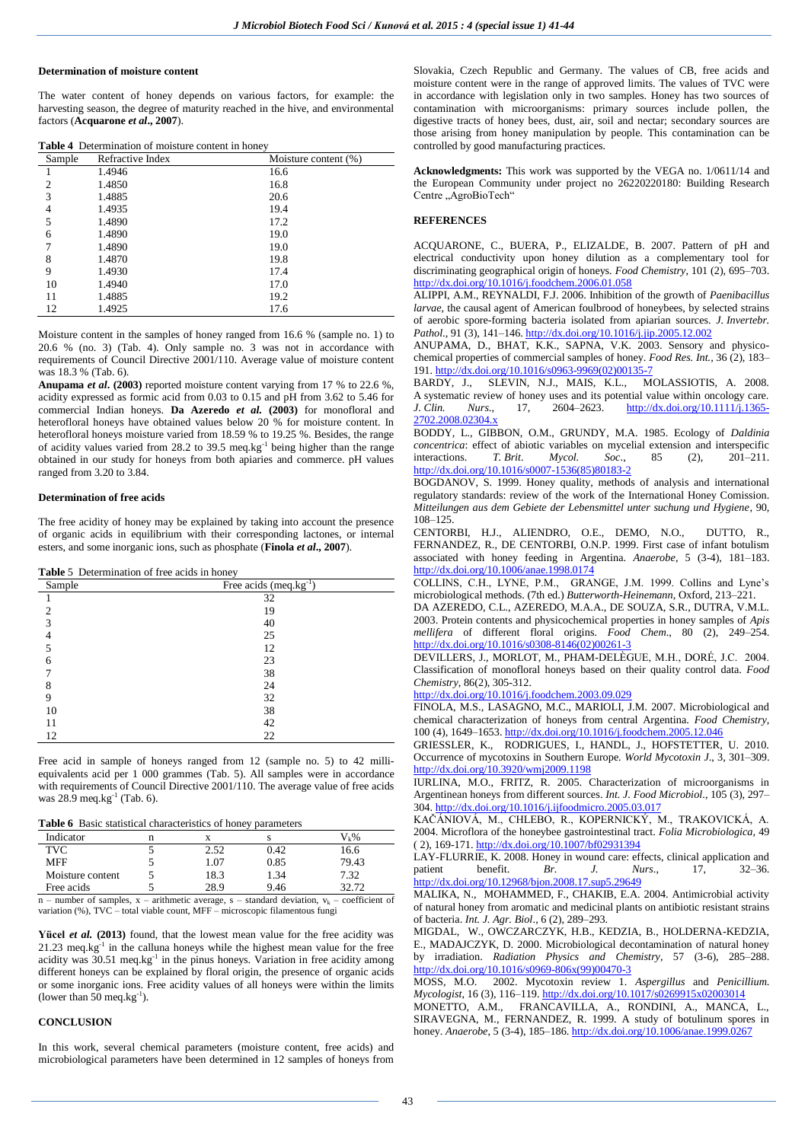# **Determination of moisture content**

The water content of honey depends on various factors, for example: the harvesting season, the degree of maturity reached in the hive, and environmental factors (**[Acquarone](http://www.sciencedirect.com/science/article/pii/S0278691510005880#b0005)** *et al***., 2007**).

|  | Table 4 Determination of moisture content in honey |  |  |  |
|--|----------------------------------------------------|--|--|--|
|--|----------------------------------------------------|--|--|--|

| Sample         | Refractive Index | Moisture content (%) |
|----------------|------------------|----------------------|
|                | 1.4946           | 16.6                 |
| $\overline{c}$ | 1.4850           | 16.8                 |
| 3              | 1.4885           | 20.6                 |
| 4              | 1.4935           | 19.4                 |
| 5              | 1.4890           | 17.2                 |
| 6              | 1.4890           | 19.0                 |
| 7              | 1.4890           | 19.0                 |
| 8              | 1.4870           | 19.8                 |
| 9              | 1.4930           | 17.4                 |
| 10             | 1.4940           | 17.0                 |
| 11             | 1.4885           | 19.2                 |
| 12             | 1.4925           | 17.6                 |

Moisture content in the samples of honey ranged from 16.6 % (sample no. 1) to 20.6 % (no. 3) (Tab. 4). Only sample no. 3 was not in accordance with requirements of Council Directive 2001/110. Average value of moisture content was 18.3 % (Tab. 6).

**[Anupama](http://www.sciencedirect.com/science/article/pii/S0168160505003314#bib5)** *et al***. (2003)** reported moisture content varying from 17 % to 22.6 %, acidity expressed as formic acid from 0.03 to 0.15 and pH from 3.62 to 5.46 for commercial Indian honeys. **[Da Azeredo](http://www.sciencedirect.com/science/article/pii/S0168160505003314#bib14)** *et al.* **(2003)** for monofloral and heterofloral honeys have obtained values below 20 % for moisture content. In heterofloral honeys moisture varied from 18.59 % to 19.25 %. Besides, the range of acidity values varied from 28.2 to 39.5 meq.kg<sup>-1</sup> being higher than the range obtained in our study for honeys from both apiaries and commerce. pH values ranged from 3.20 to 3.84.

#### **Determination of free acids**

The free acidity of honey may be explained by taking into account the presence of organic acids in equilibrium with their corresponding lactones, or internal esters, and some inorganic ions, such as phosphate (**[Finola](http://www.sciencedirect.com/science/article/pii/S0278691511005400#b0110)** *et al***., 2007**).

# **Table** 5 Determination of free acids in honey

| Sample         | Free acids $(meq.kg^{-1})$ |
|----------------|----------------------------|
|                | 32                         |
| $\overline{c}$ | 19                         |
| 3              | 40                         |
|                | 25                         |
| 5              | 12                         |
| 6              | 23                         |
|                | 38                         |
| 8              | 24                         |
| 9              | 32                         |
| 10             | 38                         |
| 11             | 42                         |
| 12             | 22                         |

Free acid in sample of honeys ranged from 12 (sample no. 5) to 42 milliequivalents acid per 1 000 grammes (Tab. 5). All samples were in accordance with requirements of Council Directive 2001/110. The average value of free acids was  $28.9 \text{ meq.kg}^{-1}$  (Tab. 6).

**Table 6** Basic statistical characteristics of honey parameters

| Indicator                                                                      |      |      | Vı%   |
|--------------------------------------------------------------------------------|------|------|-------|
| <b>TVC</b>                                                                     | 2.52 | 0.42 | 16.6  |
| <b>MFF</b>                                                                     | 1.07 | 0.85 | 79.43 |
| Moisture content                                                               | 18.3 | 1.34 | 7.32  |
| Free acids                                                                     | 28.9 | 9.46 | 32.72 |
| n number of camples y arithmetic average s standard deviation y coefficient of |      |      |       |

n – number of samples,  $x$  – arithmetic average,  $s$  – standard deviation,  $v_k$  – coefficient of variation (%), TVC – total viable count, MFF – microscopic filamentous fungi

**Yücel** *et al.* **(2013)** found, that the lowest mean value for the free acidity was  $21.23$  meq.kg<sup>-1</sup> in the calluna honeys while the highest mean value for the free acidity was  $30.51$  meq.kg<sup>-1</sup> in the pinus honeys. Variation in free acidity among different honeys can be explained by floral origin, the presence of organic acids or some inorganic ions. Free acidity values of all honeys were within the limits (lower than 50 meq.kg $^{-1}$ ).

# **CONCLUSION**

In this work, several chemical parameters (moisture content, free acids) and microbiological parameters have been determined in 12 samples of honeys from Slovakia, Czech Republic and Germany. The values of CB, free acids and moisture content were in the range of approved limits. The values of TVC were in accordance with legislation only in two samples. Honey has two sources of contamination with microorganisms: primary sources include pollen, the digestive tracts of honey bees, dust, air, soil and nectar; secondary sources are those arising from honey manipulation by people. This contamination can be controlled by good manufacturing practices.

**Acknowledgments:** This work was supported by the VEGA no. 1/0611/14 and the European Community under project no 26220220180: Building Research Centre "AgroBioTech"

## **REFERENCES**

ACQUARONE, C., BUERA, P., ELIZALDE, B. 2007. Pattern of pH and electrical conductivity upon honey dilution as a complementary tool for discriminating geographical origin of honeys. *Food Chemistry*, 101 (2), 695–703. <http://dx.doi.org/10.1016/j.foodchem.2006.01.058>

ALIPPI, A.M., REYNALDI, F.J. 2006. Inhibition of the growth of *Paenibacillus larvae*, the causal agent of American foulbrood of honeybees, by selected strains of aerobic spore-forming bacteria isolated from apiarian sources. *J. Invertebr. Pathol.*, 91 (3), 141–146[. http://dx.doi.org/10.1016/j.jip.2005.12.002](http://dx.doi.org/10.1016/j.jip.2005.12.002)

ANUPAMA, D., BHAT, K.K., SAPNA, V.K. 2003. Sensory and physicochemical properties of commercial samples of honey. *Food Res. Int.,* 36 (2), 183– 191[. http://dx.doi.org/10.1016/s0963-9969\(02\)00135-7](http://dx.doi.org/10.1016/s0963-9969%2802%2900135-7) 

BARDY, J., SLEVIN, N.J., MAIS, K.L., MOLASSIOTIS, A. 2008. A systematic review of honey uses and its potential value within oncology care.<br> *J. Clin. Nurs.*, 17, 2604–2623. **http://dx.doi.org/10.1111/j.1365**-*J. Clin. Nurs*., 17, 2604–2623. [http://dx.doi.org/10.1111/j.1365-](http://dx.doi.org/10.1111/j.1365-2702.2008.02304.x) [2702.2008.02304.x](http://dx.doi.org/10.1111/j.1365-2702.2008.02304.x) 

BODDY, L., GIBBON, O.M., GRUNDY, M.A. 1985. Ecology of *Daldinia concentrica*: effect of abiotic variables on mycelial extension and interspecific interactions. T. Brit. Mycol.  $Soc$ . 85 (2). 201–211. interactions. *T. Brit. Mycol.* Soc., 85 (2), [http://dx.doi.org/10.1016/s0007-1536\(85\)80183-2](http://dx.doi.org/10.1016/s0007-1536%2885%2980183-2) 

BOGDANOV, S. 1999. Honey quality, methods of analysis and international regulatory standards: review of the work of the International Honey Comission. *Mitteilungen aus dem Gebiete der Lebensmittel unter suchung und Hygiene*, 90, 108–125.

CENTORBI, H.J., ALIENDRO, O.E., DEMO, N.O., DUTTO, R., FERNANDEZ, R., DE CENTORBI, O.N.P. 1999. First case of infant botulism associated with honey feeding in Argentina. *Anaerobe*, 5 (3-4), 181–183. <http://dx.doi.org/10.1006/anae.1998.0174>

COLLINS, C.H., LYNE, P.M., GRANGE, J.M. 1999. Collins and Lyne's microbiological methods. (7th ed.) *Butterworth-Heinemann*, Oxford, 213–221.

DA AZEREDO, C.L., AZEREDO, M.A.A., DE SOUZA, S.R., DUTRA, V.M.L. 2003. Protein contents and physicochemical properties in honey samples of *Apis mellifera* of different floral origins. *Food Chem*., 80 (2), 249–254. [http://dx.doi.org/10.1016/s0308-8146\(02\)00261-3](http://dx.doi.org/10.1016/s0308-8146%2802%2900261-3) 

DEVILLERS, J., MORLOT, M., PHAM-DELÈGUE, M.H., DORÉ, J.C. 2004. Classification of monofloral honeys based on their quality control data. *Food Chemistry*, 86(2), 305-312.

<http://dx.doi.org/10.1016/j.foodchem.2003.09.029>

FINOLA, M.S., LASAGNO, M.C., MARIOLI, J.M. 2007. Microbiological and chemical characterization of honeys from central Argentina. *Food Chemistry*, 100 (4), 1649–1653[. http://dx.doi.org/10.1016/j.foodchem.2005.12.046](http://dx.doi.org/10.1016/j.foodchem.2005.12.046) 

GRIESSLER, K., RODRIGUES, I., HANDL, J., HOFSTETTER, U. 2010. Occurrence of mycotoxins in Southern Europe. *World Mycotoxin J*., 3, 301–309. <http://dx.doi.org/10.3920/wmj2009.1198>

IURLINA, M.O., FRITZ, R. 2005. Characterization of microorganisms in Argentinean honeys from different sources. *Int. J. Food Microbiol*., 105 (3), 297– 304[. http://dx.doi.org/10.1016/j.ijfoodmicro.2005.03.017](http://dx.doi.org/10.1016/j.ijfoodmicro.2005.03.017) 

KAČÁNIOVÁ, M., CHLEBO, R., KOPERNICKÝ, M., TRAKOVICKÁ, A. 2004. Microflora of the honeybee gastrointestinal tract. *Folia Microbiologica,* 49 ( 2), 169-171. <http://dx.doi.org/10.1007/bf02931394>

LAY-FLURRIE, K. 2008. Honey in wound care: effects, clinical application and patient benefit. *Br. J. Nurs.*, 17, 32–36. patient benefit. *Br. J. Nurs*., 17, 32–36. <http://dx.doi.org/10.12968/bjon.2008.17.sup5.29649>

MALIKA, N., MOHAMMED, F., CHAKIB, E.A. 2004. Antimicrobial activity of natural honey from aromatic and medicinal plants on antibiotic resistant strains of bacteria. *Int. J. Agr. Biol*., 6 (2), 289–293.

MIGDAL, W., OWCZARCZYK, H.B., KEDZIA, B., HOLDERNA-KEDZIA, E., MADAJCZYK, D. 2000. Microbiological decontamination of natural honey by irradiation. *Radiation Physics and Chemistry*, 57 (3-6), 285–288. [http://dx.doi.org/10.1016/s0969-806x\(99\)00470-3](http://dx.doi.org/10.1016/s0969-806x%2899%2900470-3) 

MOSS, M.O. 2002. Mycotoxin review 1. *Aspergillus* and *Penicillium*. *Mycologist*, 16 (3), 116–119[. http://dx.doi.org/10.1017/s0269915x02003014](http://dx.doi.org/10.1017/s0269915x02003014) 

MONETTO, A.M., FRANCAVILLA, A., RONDINI, A., MANCA, L., SIRAVEGNA, M., FERNANDEZ, R. 1999. A study of botulinum spores in honey. *Anaerobe*, 5 (3-4), 185–186[. http://dx.doi.org/10.1006/anae.1999.0267](http://dx.doi.org/10.1006/anae.1999.0267)